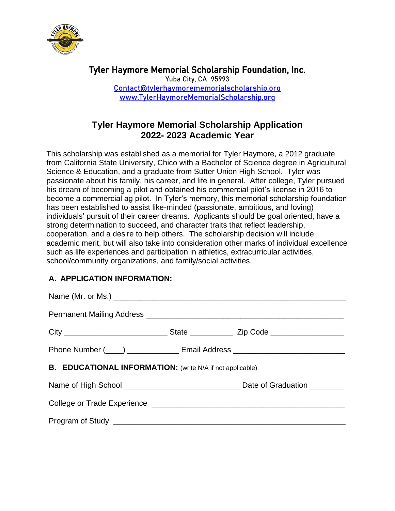

Tyler Haymore Memorial Scholarship Foundation, Inc. Yuba City, CA 95993 [Contact@tylerhaymorememorialscholarship.org](mailto:Contact@tylerhaymorememorialscholarship.org) [www.TylerHaymoreMemorialScholarship.org](http://www.tylerhaymorememorialscholarship.org/) 

# **Tyler Haymore Memorial Scholarship Application 2022- 2023 Academic Year**

This scholarship was established as a memorial for Tyler Haymore, a 2012 graduate from California State University, Chico with a Bachelor of Science degree in Agricultural Science & Education, and a graduate from Sutter Union High School. Tyler was passionate about his family, his career, and life in general. After college, Tyler pursued his dream of becoming a pilot and obtained his commercial pilot's license in 2016 to become a commercial ag pilot. In Tyler's memory, this memorial scholarship foundation has been established to assist like-minded (passionate, ambitious, and loving) individuals' pursuit of their career dreams. Applicants should be goal oriented, have a strong determination to succeed, and character traits that reflect leadership, cooperation, and a desire to help others. The scholarship decision will include academic merit, but will also take into consideration other marks of individual excellence such as life experiences and participation in athletics, extracurricular activities, school/community organizations, and family/social activities.

### **A. APPLICATION INFORMATION:**

| Phone Number (____) _______________ Email Address ______________________________ |  |  |
|----------------------------------------------------------------------------------|--|--|
| <b>B. EDUCATIONAL INFORMATION:</b> (write N/A if not applicable)                 |  |  |
|                                                                                  |  |  |
|                                                                                  |  |  |
|                                                                                  |  |  |